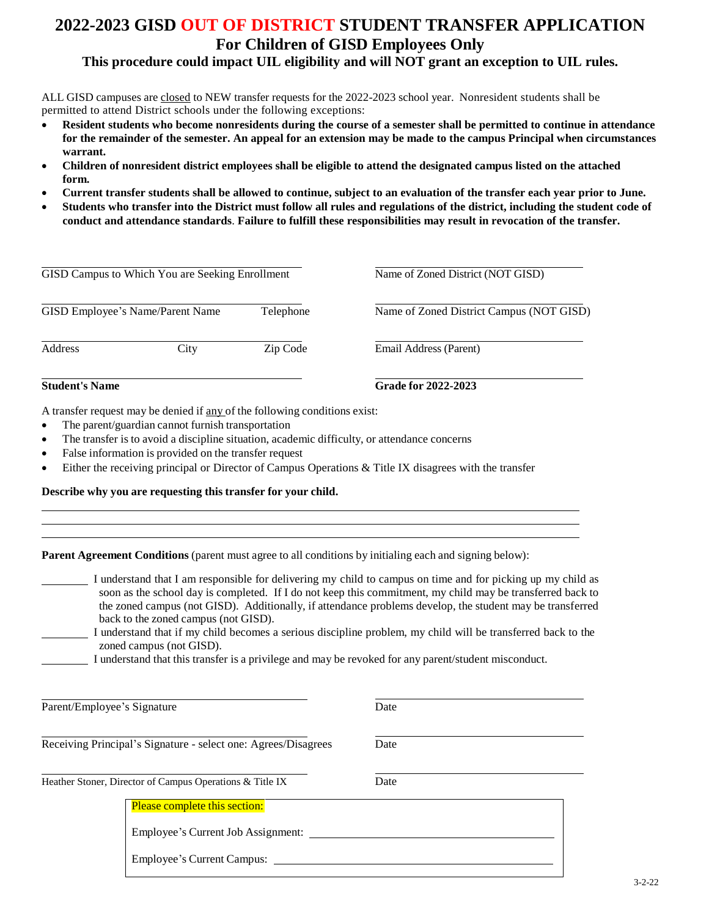## **2022-2023 GISD OUT OF DISTRICT STUDENT TRANSFER APPLICATION For Children of GISD Employees Only**

## **This procedure could impact UIL eligibility and will NOT grant an exception to UIL rules.**

ALL GISD campuses are closed to NEW transfer requests for the 2022-2023 school year. Nonresident students shall be permitted to attend District schools under the following exceptions:

- **Resident students who become nonresidents during the course of a semester shall be permitted to continue in attendance for the remainder of the semester. An appeal for an extension may be made to the campus Principal when circumstances warrant.**
- **Children of nonresident district employees shall be eligible to attend the designated campus listed on the attached form.**
- **Current transfer students shall be allowed to continue, subject to an evaluation of the transfer each year prior to June.**
- **Students who transfer into the District must follow all rules and regulations of the district, including the student code of conduct and attendance standards**. **Failure to fulfill these responsibilities may result in revocation of the transfer.**

|                                  |          | <b>Grade for 2022-2023</b>                                   |  |
|----------------------------------|----------|--------------------------------------------------------------|--|
| City                             | Zip Code | Email Address (Parent)                                       |  |
| GISD Employee's Name/Parent Name |          | Name of Zoned District Campus (NOT GISD)                     |  |
|                                  |          | Name of Zoned District (NOT GISD)                            |  |
|                                  |          | GISD Campus to Which You are Seeking Enrollment<br>Telephone |  |

A transfer request may be denied if any of the following conditions exist:

- The parent/guardian cannot furnish transportation
- The transfer is to avoid a discipline situation, academic difficulty, or attendance concerns
- False information is provided on the transfer request
- Either the receiving principal or Director of Campus Operations & Title IX disagrees with the transfer

**Describe why you are requesting this transfer for your child.**

| <b>Parent Agreement Conditions</b> (parent must agree to all conditions by initialing each and signing below): |  |
|----------------------------------------------------------------------------------------------------------------|--|
|                                                                                                                |  |
|                                                                                                                |  |

| I understand that I am responsible for delivering my child to campus on time and for picking up my child as |
|-------------------------------------------------------------------------------------------------------------|
| soon as the school day is completed. If I do not keep this commitment, my child may be transferred back to  |
| the zoned campus (not GISD). Additionally, if attendance problems develop, the student may be transferred   |
| back to the zoned campus (not GISD).                                                                        |
|                                                                                                             |

- I understand that if my child becomes a serious discipline problem, my child will be transferred back to the zoned campus (not GISD).
	- I understand that this transfer is a privilege and may be revoked for any parent/student misconduct.

| Parent/Employee's Signature |                                                                     | Date |  |
|-----------------------------|---------------------------------------------------------------------|------|--|
|                             | Receiving Principal's Signature - select one: Agrees/Disagrees      | Date |  |
|                             | Heather Stoner, Director of Campus Operations & Title IX            | Date |  |
|                             | Please complete this section:<br>Employee's Current Job Assignment: |      |  |
|                             | <b>Employee's Current Campus:</b>                                   |      |  |